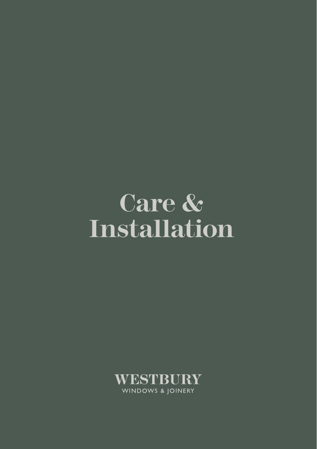### **Care & Installation**

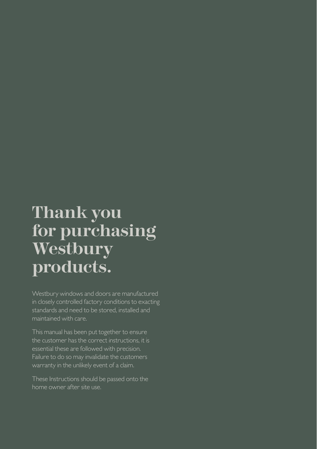### **Thank you for purchasing Westbury products.**

in closely controlled factory conditions to exacting standards and need to be stored, installed and maintained with care.

This manual has been put together to ensure the customer has the correct instructions, it is essential these are followed with precision. Failure to do so may invalidate the customers

home owner after site use.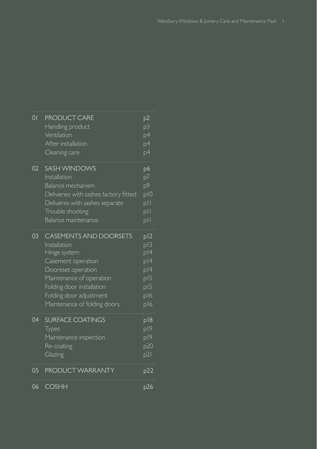| $\overline{0}$  | <b>PRODUCT CARE</b><br>Handling product<br>Ventilation<br>After installation<br>Cleaning care                                                                                                                                 | p2<br>p3<br>p4<br>$p\overline{4}$<br>p4                                    |
|-----------------|-------------------------------------------------------------------------------------------------------------------------------------------------------------------------------------------------------------------------------|----------------------------------------------------------------------------|
| 02 <sub>2</sub> | <b>SASH WINDOWS</b><br>Installation<br>Balance mechanism<br>Deliveries with sashes factory fitted<br>Deliveres with sashes separate<br>Trouble shooting<br>Balance maintenance                                                | p6<br>p7<br>p9<br>p10<br>pll<br>p  <br>p                                   |
| 03              | <b>CASEMENTS AND DOORSETS</b><br>Installation<br>Hinge system<br>Casement operation<br>Dooreset operation<br>Maintenance of operation<br>Folding door installation<br>Folding door adjustment<br>Maintenance of folding doors | p12<br>p13<br>$\overline{p}$  4<br>p 4<br>p 4<br>pi 5<br>p15<br>p16<br>p16 |
| 04              | <b>SURFACE COATINGS</b><br>Types<br>Maintenance inspection<br>Re-coating<br>Glazing                                                                                                                                           | p 8<br>p19<br>p/9<br>p20<br>p21                                            |
| 05              | <b>PRODUCT WARRANTY</b>                                                                                                                                                                                                       | p22                                                                        |
| 06              | <b>COSHH</b>                                                                                                                                                                                                                  | p26                                                                        |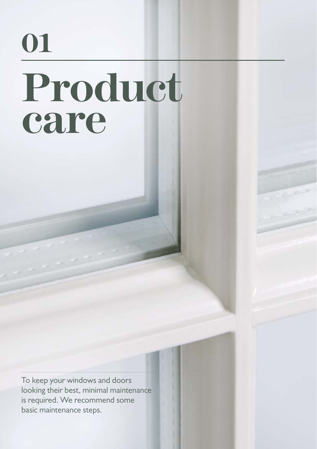### **01 Product care**

To keep your windows and doors looking their best, minimal maintenance is required. We recommend some basic maintenance steps.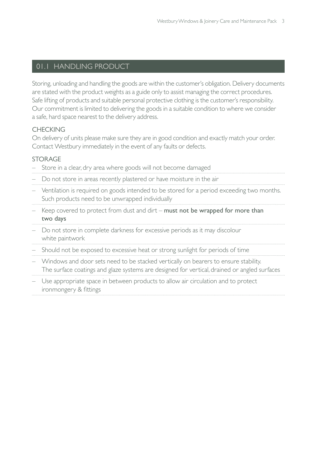#### 01.1 HANDLING PRODUCT

Storing, unloading and handling the goods are within the customer's obligation. Delivery documents are stated with the product weights as a guide only to assist managing the correct procedures. Safe lifting of products and suitable personal protective clothing is the customer's responsibility. Our commitment is limited to delivering the goods in a suitable condition to where we consider a safe, hard space nearest to the delivery address.

#### CHECKING

On delivery of units please make sure they are in good condition and exactly match your order. Contact Westbury immediately in the event of any faults or defects.

#### STOR AGE

- Store in a clear, dry area where goods will not become damaged
- Do not store in areas recently plastered or have moisture in the air
- Ventilation is required on goods intended to be stored for a period exceeding two months. Such products need to be unwrapped individually
- Keep covered to protect from dust and dirt must not be wrapped for more than two days
- Do not store in complete darkness for excessive periods as it may discolour white paintwork
- Should not be exposed to excessive heat or strong sunlight for periods of time
- Windows and door sets need to be stacked vertically on bearers to ensure stability. The surface coatings and glaze systems are designed for vertical, drained or angled surfaces
- Use appropriate space in between products to allow air circulation and to protect ironmongery & fittings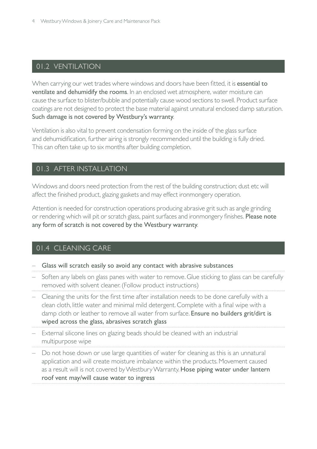#### 01.2 VENTILATION

When carrying our wet trades where windows and doors have been fitted, it is essential to ventilate and dehumidify the rooms. In an enclosed wet atmosphere, water moisture can cause the surface to blister/bubble and potentially cause wood sections to swell. Product surface coatings are not designed to protect the base material against unnatural enclosed damp saturation. Such damage is not covered by Westbury's warranty.

Ventilation is also vital to prevent condensation forming on the inside of the glass surface and dehumidification, further airing is strongly recommended until the building is fully dried. This can often take up to six months after building completion.

#### 01.3 AFTER INSTALLATION

Windows and doors need protection from the rest of the building construction; dust etc will affect the finished product, glazing gaskets and may effect ironmongery operation.

Attention is needed for construction operations producing abrasive grit such as angle grinding or rendering which will pit or scratch glass, paint surfaces and ironmongery finishes. Please note any form of scratch is not covered by the Westbury warranty.

#### 01.4 CLEANING CARE

- Glass will scratch easily so avoid any contact with abrasive substances
- Soften any labels on glass panes with water to remove. Glue sticking to glass can be carefully removed with solvent cleaner. (Follow product instructions)
- $-$  Cleaning the units for the first time after installation needs to be done carefully with a clean cloth, little water and minimal mild detergent. Complete with a final wipe with a damp cloth or leather to remove all water from surface. Ensure no builders grit/dirt is wiped across the glass, abrasives scratch glass
- External silicone lines on glazing beads should be cleaned with an industrial multipurpose wipe
- Do not hose down or use large quantities of water for cleaning as this is an unnatural application and will create moisture imbalance within the products. Movement caused as a result will is not covered by Westbury Warranty. Hose piping water under lantern roof vent may/will cause water to ingress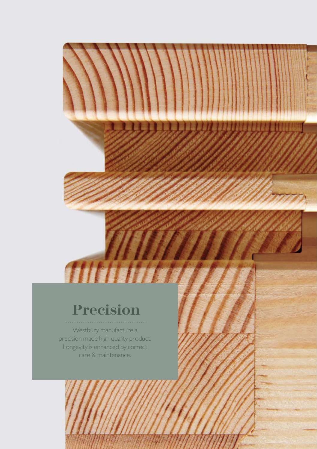### **Precision**

Westbury manufacture a precision made high quality product. Longevity is enhanced by correct care & maintenance.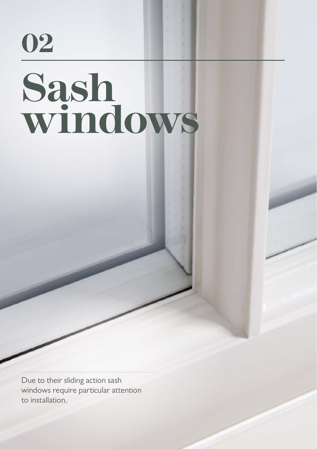# **02 Sash windows**

6 Westbury Windows & Joinery Care and Maintenance Pack

Due to their sliding action sash windows require particular attention to installation.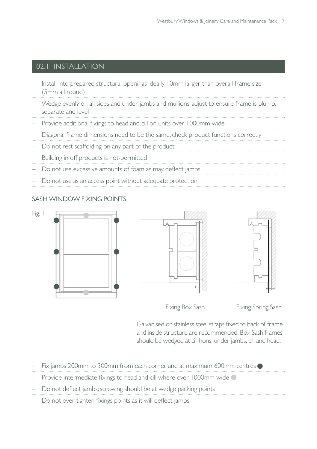#### 02.1 INSTALLATION

- Install into prepared structural openings ideally 10mm larger than overall frame size (5mm all round)
- Wedge evenly on all sides and under jambs and mullions; adjust to ensure frame is plumb, separate and level
- Provide additional fixings to head and cill on units over 1000mm wide
- Diagonal frame dimensions need to be the same, check product functions correctly
- Do not rest scaffolding on any part of the product
- Building in off products is not-permitted
- Do not use excessive amounts of foam as may deflect jambs
- Do not use as an access point without adequate protection

#### SASH WINDOW FIXING POINTS







Fixing Box Sash Fixing Spring Sash

Galvanised or stainless steel straps fixed to back of frame and inside structure are recommended. Box Sash frames should be wedged at cill hons, under jambs, cill and head.

| $-$ Fix jambs 200mm to 300mm from each corner and at maximum 600mm centres        |
|-----------------------------------------------------------------------------------|
| - Provide intermediate fixings to head and cill where over 1000mm wide $\bigcirc$ |
| - Do not deflect jambs; screwing should be at wedge packing points                |
| - Do not over tighten fixings points as it will deflect jambs                     |
|                                                                                   |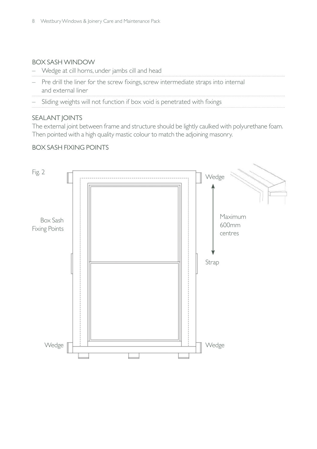#### BOX SASH WINDOW

- Wedge at cill horns, under jambs cill and head
- Pre drill the liner for the screw fixings, screw intermediate straps into internal and external liner  $\cdots$
- Sliding weights will not function if box void is penetrated with fixings

#### SEALANT JOINTS

The external joint between frame and structure should be lightly caulked with polyurethane foam. Then pointed with a high quality mastic colour to match the adjoining masonry.

#### BOX SASH FIXING POINTS

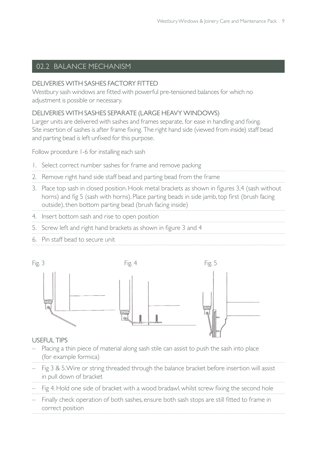#### 02.2 BALANCE MECHANISM

#### DELIVERIES WITH SASHES FACTORY FITTED

Westbury sash windows are fitted with powerful pre-tensioned balances for which no adjustment is possible or necessary.

#### DELIVERIES WITH SASHES SEPARATE (LARGE HEAVY WINDOWS)

Larger units are delivered with sashes and frames separate, for ease in handling and fixing. Site insertion of sashes is after frame fixing. The right hand side (viewed from inside) staff bead and parting bead is left unfixed for this purpose.

Follow procedure 1-6 for installing each sash

- 1. Select correct number sashes for frame and remove packing
- 2. Remove right hand side staff bead and parting bead from the frame
- 3. Place top sash in closed position. Hook metal brackets as shown in figures 3,4 (sash without horns) and fig 5 (sash with horns). Place parting beads in side jamb, top first (brush facing outside), then bottom parting bead (brush facing inside)
- 4. Insert bottom sash and rise to open position
- 5. Screw left and right hand brackets as shown in figure 3 and 4
- 6. Pin staff bead to secure unit



#### USEFUL TIPS

- Placing a thin piece of material along sash stile can assist to push the sash into place (for example formica)
- Fig 3 & 5. Wire or string threaded through the balance bracket before insertion will assist in pull down of bracket
- Fig 4. Hold one side of bracket with a wood bradawl, whilst screw fixing the second hole
- Finally check operation of both sashes, ensure both sash stops are still fitted to frame in correct position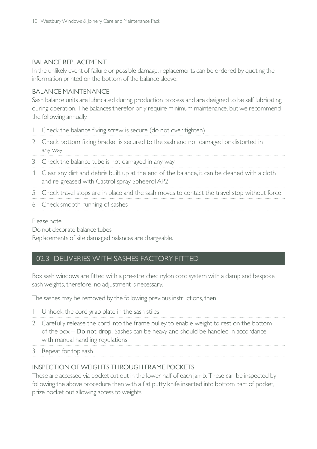#### BALANCE REPLACEMENT

In the unlikely event of failure or possible damage, replacements can be ordered by quoting the information printed on the bottom of the balance sleeve.

#### BALANCE MAINTENANCE

Sash balance units are lubricated during production process and are designed to be self lubricating during operation. The balances therefor only require minimum maintenance, but we recommend the following annually.

- 1. Check the balance fixing screw is secure (do not over tighten)
- 2. Check bottom fixing bracket is secured to the sash and not damaged or distorted in any way
- 3. Check the balance tube is not damaged in any way
- 4. Clear any dirt and debris built up at the end of the balance, it can be cleaned with a cloth and re-greased with Castrol spray Spheerol AP2
- 5. Check travel stops are in place and the sash moves to contact the travel stop without force.
- 6. Check smooth running of sashes

#### Please note:

Do not decorate balance tubes

Replacements of site damaged balances are chargeable.

#### 02.3 DELIVERIES WITH SASHES FACTORY FITTED

Box sash windows are fitted with a pre-stretched nylon cord system with a clamp and bespoke sash weights, therefore, no adjustment is necessary.

The sashes may be removed by the following previous instructions, then

- 1. Unhook the cord grab plate in the sash stiles
- 2. Carefully release the cord into the frame pulley to enable weight to rest on the bottom of the box – Do not drop. Sashes can be heavy and should be handled in accordance with manual handling regulations

3. Repeat for top sash

#### INSPECTION OF WEIGHTS THROUGH FRAME POCKETS

These are accessed via pocket cut out in the lower half of each jamb. These can be inspected by following the above procedure then with a flat putty knife inserted into bottom part of pocket, prize pocket out allowing access to weights.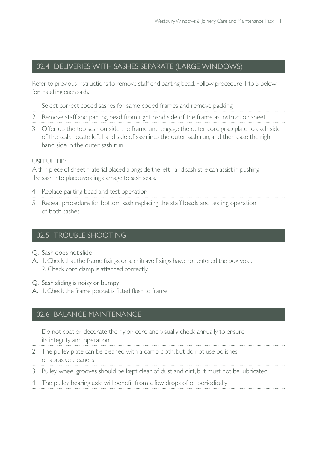#### 02.4 DELIVERIES WITH SASHES SEPARATE (LARGE WINDOWS)

Refer to previous instructions to remove staff end parting bead. Follow procedure 1 to 5 below for installing each sash.

- 1. Select correct coded sashes for same coded frames and remove packing
- 2. Remove staff and parting bead from right hand side of the frame as instruction sheet
- 3. Offer up the top sash outside the frame and engage the outer cord grab plate to each side of the sash. Locate left hand side of sash into the outer sash run, and then ease the right hand side in the outer sash run

#### USEFUL TIP:

A thin piece of sheet material placed alongside the left hand sash stile can assist in pushing the sash into place avoiding damage to sash seals.

- 4. Replace parting bead and test operation
- 5. Repeat procedure for bottom sash replacing the staff beads and testing operation of both sashes

#### 02.5 TROUBLE SHOOTING

- Q. Sash does not slide
- A. I. Check that the frame fixings or architrave fixings have not entered the box void. 2. Check cord clamp is attached correctly.
- Q. Sash sliding is noisy or bumpy
- A. I. Check the frame pocket is fitted flush to frame.

#### 02.6 BALANCE MAINTENANCE

- 1. Do not coat or decorate the nylon cord and visually check annually to ensure its integrity and operation
- 2. The pulley plate can be cleaned with a damp cloth, but do not use polishes or abrasive cleaners
- 3. Pulley wheel grooves should be kept clear of dust and dirt, but must not be lubricated
- 4. The pulley bearing axle will benefit from a few drops of oil periodically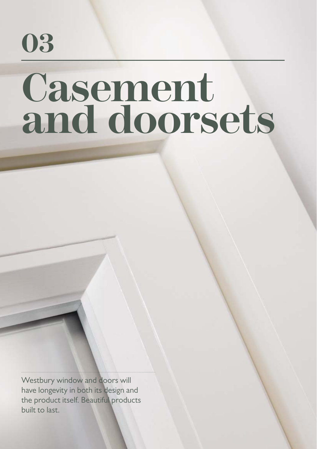

# Casement **and doorsets**

Westbury window and doors will have longevity in both its design and the product itself. Beautiful products built to last.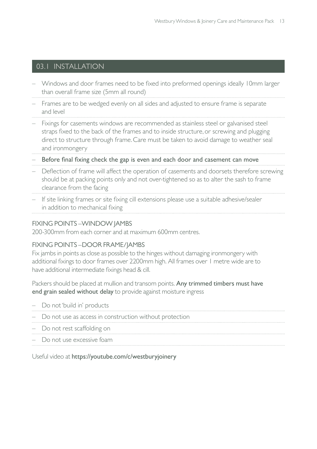#### 03.1 INSTALLATION

- Windows and door frames need to be fi xed into preformed openings ideally 10mm larger than overall frame size (5mm all round)
- Frames are to be wedged evenly on all sides and adjusted to ensure frame is separate and level
- Fixings for casements windows are recommended as stainless steel or galvanised steel straps fixed to the back of the frames and to inside structure, or screwing and plugging direct to structure through frame. Care must be taken to avoid damage to weather seal and ironmongery
- Before final fixing check the gap is even and each door and casement can move
- Deflection of frame will affect the operation of casements and doorsets therefore screwing should be at packing points only and not over-tightened so as to alter the sash to frame clearance from the facing
- $-$  If site linking frames or site fixing cill extensions please use a suitable adhesive/sealer in addition to mechanical fixing

#### FIXING POINTS –WINDOW JAMBS

200-300mm from each corner and at maximum 600mm centres.

#### FIXING POINTS –DOOR FRAME/JAMBS

Fix jambs in points as close as possible to the hinges without damaging ironmongery with additional fixings to door frames over 2200mm high. All frames over 1 metre wide are to have additional intermediate fixings head & cill.

Packers should be placed at mullion and transom points. Any trimmed timbers must have end grain sealed without delay to provide against moisture ingress

| - Do not 'build in' products                              |
|-----------------------------------------------------------|
| - Do not use as access in construction without protection |
| - Do not rest scaffolding on                              |
| - Do not use excessive foam                               |

Useful video at https://youtube.com/c/westburyjoinery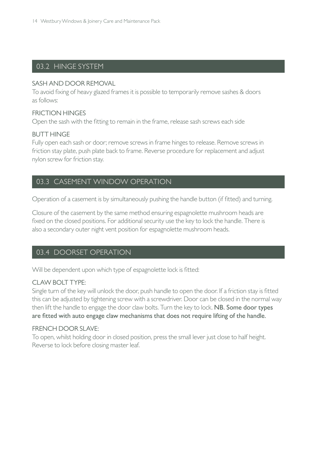#### 03.2 HINGE SYSTEM

#### SASH AND DOOR REMOVAL

To avoid fixing of heavy glazed frames it is possible to temporarily remove sashes & doors as follows:

#### FRICTION HINGES

Open the sash with the fitting to remain in the frame, release sash screws each side

#### BUTT HINGE

Fully open each sash or door; remove screws in frame hinges to release. Remove screws in friction stay plate, push plate back to frame. Reverse procedure for replacement and adjust nylon screw for friction stay.

#### 03.3 CASEMENT WINDOW OPERATION

Operation of a casement is by simultaneously pushing the handle button (if fitted) and turning.

Closure of the casement by the same method ensuring espagnolette mushroom heads are fixed on the closed positions. For additional security use the key to lock the handle. There is also a secondary outer night vent position for espagnolette mushroom heads.

#### 03.4 DOORSET OPERATION

Will be dependent upon which type of espagnolette lock is fitted:

#### CLAW BOLT TYPE:

Single turn of the key will unlock the door, push handle to open the door. If a friction stay is fitted this can be adjusted by tightening screw with a screwdriver. Door can be closed in the normal way then lift the handle to engage the door claw bolts. Turn the key to lock. NB. Some door types are fitted with auto engage claw mechanisms that does not require lifting of the handle.

#### FRENCH DOOR SLAVE:

To open, whilst holding door in closed position, press the small lever just close to half height. Reverse to lock before closing master leaf.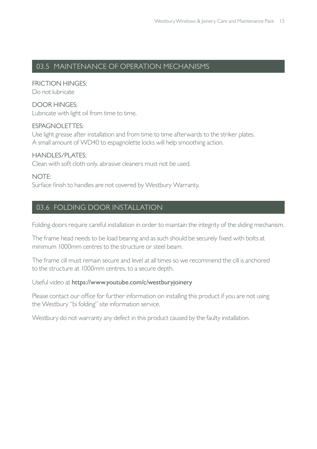#### 03.5 MAINTENANCE OF OPERATION MECHANISMS

FRICTION HINGES: Do not lubricate

DOOR HINGES: Lubricate with light oil from time to time.

#### ESPAGNOLETTES:

Use light grease after installation and from time to time afterwards to the striker plates. A small amount of WD40 to espagnolette locks will help smoothing action.

HANDLES/PLATES: Clean with soft cloth only, abrasive cleaners must not be used.

NOTE: Surface finish to handles are not covered by Westbury Warranty.

#### 03.6 FOLDING DOOR INSTALLATION

Folding doors require careful installation in order to maintain the integrity of the sliding mechanism.

The frame head needs to be load bearing and as such should be securely fixed with bolts at minimum 1000mm centres to the structure or steel beam.

The frame cill must remain secure and level at all times so we recommend the cill is anchored to the structure at 1000mm centres, to a secure depth.

#### Useful video at https://www.youtube.com/c/westburyjoinery

Please contact our office for further information on installing this product if you are not using the Westbury "bi folding" site information service.

Westbury do not warranty any defect in this product caused by the faulty installation.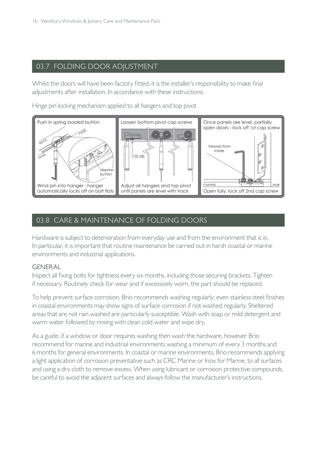#### 03.7 FOLDING DOOR ADJUSTMENT

Whilst the doors will have been factory fitted, it is the installer's responsibility to make final adjustments after installation. In accordance with these instructions:

Hinge pin locking mechanism applied to all hangers and top pivot



#### 03.8 CARE & MAINTENANCE OF FOLDING DOORS

Hardware is subject to deterioration from everyday use and from the environment that is in. In particular, it is important that routine maintenance be carried out in harsh coastal or marine environments and industrial applications.

#### GENERAL

Inspect all fixing bolts for tightness every six months, including those securing brackets. Tighten if necessary. Routinely check for wear and if excessively worn, the part should be replaced.

To help prevent surface corrosion, Brio recommends washing regularly; even stainless steel finishes in coastal environments may show signs of surface corrosion if not washed regularly. Sheltered areas that are not rain washed are particularly susceptible. Wash with soap or mild detergent and warm water followed by rinsing with clean cold water and wipe dry.

As a guide, if a window or door requires washing then wash the hardware, however Brio recommend for marine and industrial environments washing a minimum of every 3 months and 6 months for general environments. In coastal or marine environments, Brio recommends applying a light application of corrosion preventative such as CRC Marine or Inox for Marine, to all surfaces and using a dry cloth to remove excess. When using lubricant or corrosion protective compounds, be careful to avoid the adjacent surfaces and always follow the manufacturer's instructions.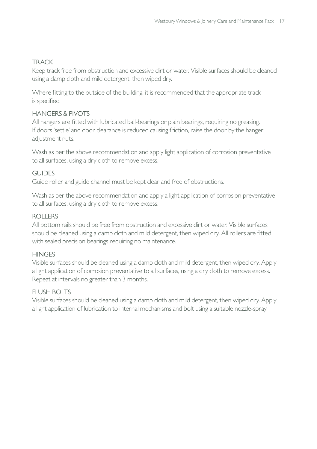#### TRACK

Keep track free from obstruction and excessive dirt or water. Visible surfaces should be cleaned using a damp cloth and mild detergent, then wiped dry.

Where fitting to the outside of the building, it is recommended that the appropriate track is specified.

#### HANGERS & PIVOTS

All hangers are fitted with lubricated ball-bearings or plain bearings, requiring no greasing. If doors 'settle' and door clearance is reduced causing friction, raise the door by the hanger adjustment nuts.

Wash as per the above recommendation and apply light application of corrosion preventative to all surfaces, using a dry cloth to remove excess.

#### **GUIDES**

Guide roller and guide channel must be kept clear and free of obstructions.

Wash as per the above recommendation and apply a light application of corrosion preventative to all surfaces, using a dry cloth to remove excess.

#### ROLLERS

All bottom rails should be free from obstruction and excessive dirt or water. Visible surfaces should be cleaned using a damp cloth and mild detergent, then wiped dry. All rollers are fitted with sealed precision bearings requiring no maintenance.

#### **HINGES**

Visible surfaces should be cleaned using a damp cloth and mild detergent, then wiped dry. Apply a light application of corrosion preventative to all surfaces, using a dry cloth to remove excess. Repeat at intervals no greater than 3 months.

#### FLUSH BOLTS

Visible surfaces should be cleaned using a damp cloth and mild detergent, then wiped dry. Apply a light application of lubrication to internal mechanisms and bolt using a suitable nozzle-spray.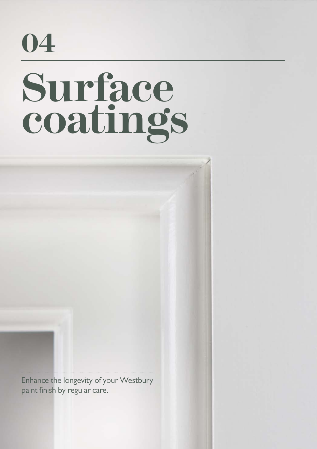### **04**

# **Surface coatings**

Enhance the longevity of your Westbury paint finish by regular care.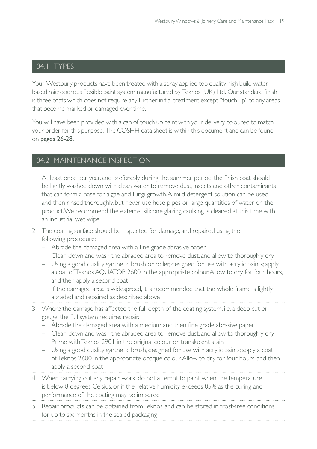#### 04.1 TYPES

Your Westbury products have been treated with a spray applied top quality high build water based microporous flexible paint system manufactured by Teknos (UK) Ltd. Our standard finish is three coats which does not require any further initial treatment except "touch up" to any areas that become marked or damaged over time.

You will have been provided with a can of touch up paint with your delivery coloured to match your order for this purpose. The COSHH data sheet is within this document and can be found on pages 26-28.

#### 04.2 MAINTENANCE INSPECTION

- 1. At least once per year, and preferably during the summer period, the finish coat should be lightly washed down with clean water to remove dust, insects and other contaminants that can form a base for algae and fungi growth. A mild detergent solution can be used and then rinsed thoroughly, but never use hose pipes or large quantities of water on the product. We recommend the external silicone glazing caulking is cleaned at this time with an industrial wet wipe
- 2. The coating surface should be inspected for damage, and repaired using the following procedure:
	- $-$  Abrade the damaged area with a fine grade abrasive paper
	- Clean down and wash the abraded area to remove dust, and allow to thoroughly dry
	- Using a good quality synthetic brush or roller, designed for use with acrylic paints; apply a coat of Teknos AQUATOP 2600 in the appropriate colour. Allow to dry for four hours, and then apply a second coat
	- If the damaged area is widespread, it is recommended that the whole frame is lightly abraded and repaired as described above
- 3. Where the damage has affected the full depth of the coating system, i.e. a deep cut or gouge, the full system requires repair.
	- $-$  Abrade the damaged area with a medium and then fine grade abrasive paper
	- Clean down and wash the abraded area to remove dust, and allow to thoroughly dry
	- Prime with Teknos 2901 in the original colour or translucent stain
	- Using a good quality synthetic brush, designed for use with acrylic paints; apply a coat of Teknos 2600 in the appropriate opaque colour. Allow to dry for four hours, and then apply a second coat
- 4. When carrying out any repair work, do not attempt to paint when the temperature is below 8 degrees Celsius, or if the relative humidity exceeds 85% as the curing and performance of the coating may be impaired
- 5. Repair products can be obtained from Teknos, and can be stored in frost-free conditions for up to six months in the sealed packaging. . . . . . .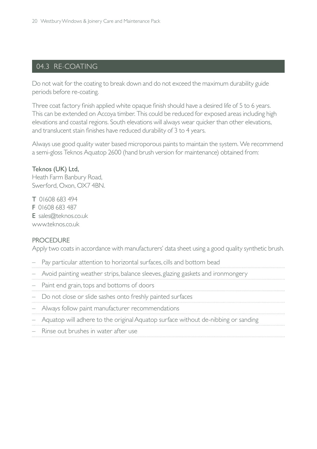#### 04.3 RE-COATING

Do not wait for the coating to break down and do not exceed the maximum durability guide periods before re-coating.

Three coat factory finish applied white opaque finish should have a desired life of 5 to 6 years. This can be extended on Accoya timber. This could be reduced for exposed areas including high elevations and coastal regions. South elevations will always wear quicker than other elevations, and translucent stain finishes have reduced durability of 3 to 4 years.

Always use good quality water based microporous paints to maintain the system. We recommend a semi-gloss Teknos Aquatop 2600 (hand brush version for maintenance) obtained from:

Teknos (UK) Ltd, Heath Farm Banbury Road, Swerford, Oxon, OX7 4BN.

T 01608 683 494 F 01608 683 487 E sales@teknos.co.uk

www.teknos.co.uk

#### **PROCEDURE**

Apply two coats in accordance with manufacturers' data sheet using a good quality synthetic brush.

- Pay particular attention to horizontal surfaces, cills and bottom bead
- Avoid painting weather strips, balance sleeves, glazing gaskets and ironmongery
- Paint end grain, tops and bottoms of doors
- Do not close or slide sashes onto freshly painted surfaces
- Always follow paint manufacturer recommendations
- Aquatop will adhere to the original Aquatop surface without de-nibbing or sanding
- Rinse out brushes in water after use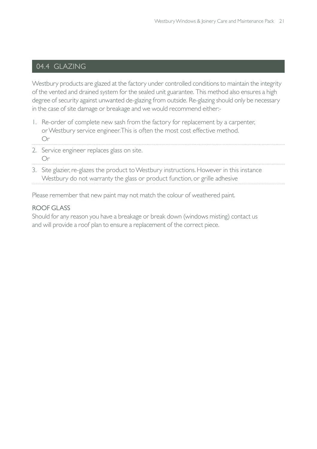#### 04.4 GLAZING

Westbury products are glazed at the factory under controlled conditions to maintain the integrity of the vented and drained system for the sealed unit guarantee. This method also ensures a high degree of security against unwanted de-glazing from outside. Re-glazing should only be necessary in the case of site damage or breakage and we would recommend either:-

- 1. Re-order of complete new sash from the factory for replacement by a carpenter, or Westbury service engineer. This is often the most cost effective method. Or
- 2. Service engineer replaces glass on site. Or
- 3. Site glazier, re-glazes the product to Westbury instructions. However in this instance Westbury do not warranty the glass or product function, or grille adhesive

Please remember that new paint may not match the colour of weathered paint.

#### ROOF GLASS

Should for any reason you have a breakage or break down (windows misting) contact us and will provide a roof plan to ensure a replacement of the correct piece.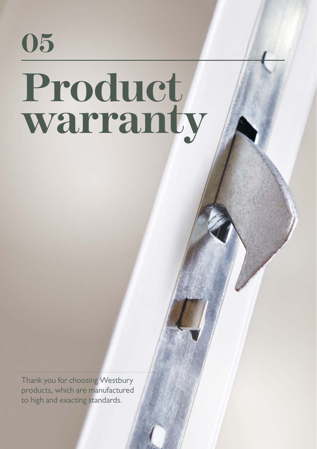

## **Product warranty**

Thank you for choosing Westbury products, which are manufactured to high and exacting standards.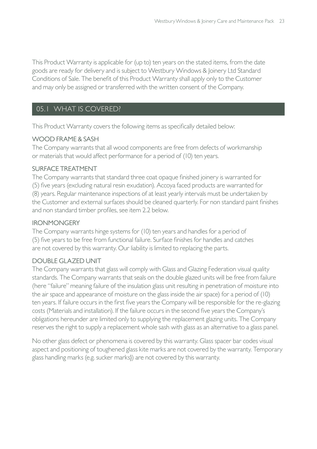This Product Warranty is applicable for (up to) ten years on the stated items, from the date goods are ready for delivery and is subject to Westbury Windows & Joinery Ltd Standard Conditions of Sale. The benefit of this Product Warranty shall apply only to the Customer and may only be assigned or transferred with the written consent of the Company.

#### 05.1 WHAT IS COVERED?

This Product Warranty covers the following items as specifically detailed below:

#### WOOD FRAME & SASH

The Company warrants that all wood components are free from defects of workmanship or materials that would affect performance for a period of (10) ten years.

#### SURFACE TREATMENT

The Company warrants that standard three coat opaque finished joinery is warranted for (5) five years (excluding natural resin exudation). Accoya faced products are warranted for (8) years. Regular maintenance inspections of at least yearly intervals must be undertaken by the Customer and external surfaces should be cleaned quarterly. For non standard paint finishes and non standard timber profiles, see item 2.2 below.

#### IRONMONGERY

The Company warrants hinge systems for (10) ten years and handles for a period of (5) five years to be free from functional failure. Surface finishes for handles and catches are not covered by this warranty. Our liability is limited to replacing the parts.

#### DOUBLE GLAZED UNIT

The Company warrants that glass will comply with Glass and Glazing Federation visual quality standards. The Company warrants that seals on the double glazed units will be free from failure (here "failure" meaning failure of the insulation glass unit resulting in penetration of moisture into the air space and appearance of moisture on the glass inside the air space) for a period of (10) ten years. If failure occurs in the first five years the Company will be responsible for the re-glazing costs (Materials and installation). If the failure occurs in the second five years the Company's obligations hereunder are limited only to supplying the replacement glazing units. The Company reserves the right to supply a replacement whole sash with glass as an alternative to a glass panel.

No other glass defect or phenomena is covered by this warranty. Glass spacer bar codes visual aspect and positioning of toughened glass kite marks are not covered by the warranty. Temporary glass handling marks (e.g. sucker marks}) are not covered by this warranty.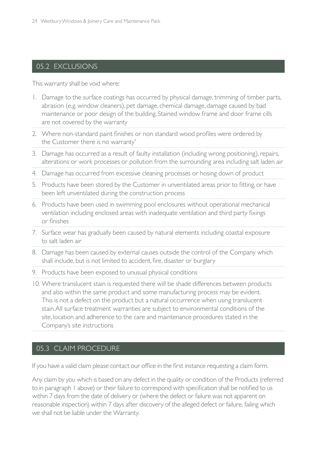#### 05.2 EXCLUSIONS

This warranty shall be void where:

- 1. Damage to the surface coatings has occurred by physical damage, trimming of timber parts, abrasion (e.g. window cleaners), pet damage, chemical damage, damage caused by bad maintenance or poor design of the building. Stained window frame and door frame cills are not covered by the warranty
- 2. Where non-standard paint finishes or non standard wood profiles were ordered by the Customer there is no warranty\*
- 3. Damage has occurred as a result of faulty installation (including wrong positioning), repairs, alterations or work processes or pollution from the surrounding area including salt laden air
- 4. Damage has occurred from excessive cleaning processes or hosing down of product
- 5. Products have been stored by the Customer in unventilated areas prior to fitting, or have been left unventilated during the construction process
- 6. Products have been used in swimming pool enclosures without operational mechanical ventilation including enclosed areas with inadequate ventilation and third party fixings or finishes
- 7. Surface wear has gradually been caused by natural elements including coastal exposure to salt laden air
- 8. Damage has been caused by external causes outside the control of the Company which shall include, but is not limited to accident, fire, disaster or burglary
- 9. Products have been exposed to unusual physical conditions
- 10. Where translucent stain is requested there will be shade differences between products and also within the same product and some manufacturing process may be evident. This is not a defect on the product but a natural occurrence when using translucent stain. All surface treatment warranties are subject to environmental conditions of the site, location and adherence to the care and maintenance procedures stated in the Company's site instructions

#### 05.3 CLAIM PROCEDURE

If you have a valid claim please contact our office in the first instance requesting a claim form.

Any claim by you which is based on any defect in the quality or condition of the Products (referred to in paragraph 1 above) or their failure to correspond with specification shall be notified to us within 7 days from the date of delivery or (where the defect or failure was not apparent on reasonable inspection) within 7 days after discovery of the alleged defect or failure, failing which we shall not be liable under the Warranty.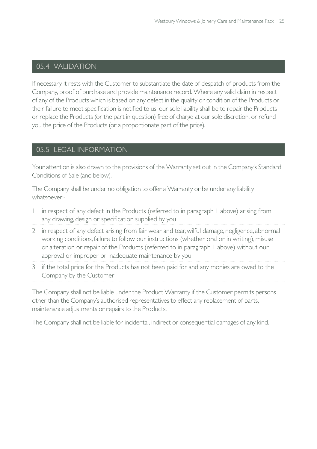#### 05.4 VALIDATION

If necessary it rests with the Customer to substantiate the date of despatch of products from the Company, proof of purchase and provide maintenance record. Where any valid claim in respect of any of the Products which is based on any defect in the quality or condition of the Products or their failure to meet specification is notified to us, our sole liability shall be to repair the Products or replace the Products (or the part in question) free of charge at our sole discretion, or refund you the price of the Products (or a proportionate part of the price).

#### 05.5 LEGAL INFORMATION

Your attention is also drawn to the provisions of the Warranty set out in the Company's Standard Conditions of Sale (and below).

The Company shall be under no obligation to offer a Warranty or be under any liability whatsoever:-

- 1. in respect of any defect in the Products (referred to in paragraph 1 above) arising from any drawing, design or specification supplied by you
- 2. in respect of any defect arising from fair wear and tear, wilful damage, negligence, abnormal working conditions, failure to follow our instructions (whether oral or in writing), misuse or alteration or repair of the Products (referred to in paragraph 1 above) without our approval or improper or inadequate maintenance by you
- 3. if the total price for the Products has not been paid for and any monies are owed to the Company by the Customer

The Company shall not be liable under the Product Warranty if the Customer permits persons other than the Company's authorised representatives to effect any replacement of parts, maintenance adjustments or repairs to the Products.

The Company shall not be liable for incidental, indirect or consequential damages of any kind.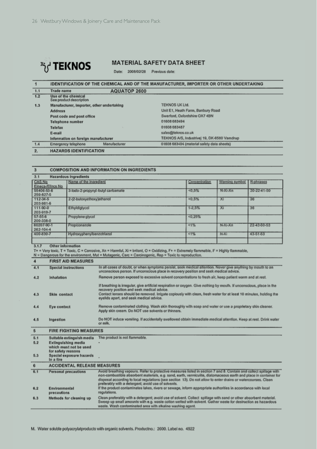

#### **MATERIAL SAFETY DATA SHEET**

Date: 2008/02/28 Previous date:

#### IDENTIFICATION OF THE CHEMICAL AND OF THE MANUFACTURER, IMPORTER OR OTHER UNDERTAKING  $\overline{1}$  $\overline{1.1}$ AQUATOP 2600 Trade name

| 1.2 | Use of the chemical<br>See product description |                                             |
|-----|------------------------------------------------|---------------------------------------------|
| 1.3 | Manufacturer, Importer, other undertaking      | <b>TEKNOS UK Ltd.</b>                       |
|     | <b>Address</b>                                 | Unit E1, Heath Farm, Banbury Road           |
|     | Post code and post office                      | Swerford, Oxfordshire OX7 4BN               |
|     | Telephone number                               | 01608 683494                                |
|     | Telefax                                        | 01608 683487                                |
|     | E-mail                                         | sales@teknos.co.uk                          |
|     | Information on foreign manufacturer            | TEKNOS A/S, Industrivej 19, DK-6580 Vamdrup |
| 1.4 | Emergency telephone<br>Manufacturer            | 01608 683494 (material safety data sheets)  |
| ゥ   | HAZARDS IDENTIFICATION                         |                                             |

#### $\overline{\phantom{a}3}$ **COMPOSITION AND INFORMATION ON INGREDIENTS**

| 3.1<br><b>Hazardous ingredients</b> |                                   |               |                |             |
|-------------------------------------|-----------------------------------|---------------|----------------|-------------|
| CAS No                              | Name of the ingredient            | Concentration | Warning symbol | R-phrases   |
| Einecs-/Elincs No.                  |                                   |               |                |             |
| 55406-53-6                          | 3-lodo-2-propynyl-butyl carbamate | 5%            | $N-X-Xn$       | 20-22-41-50 |
| 259-627-5                           |                                   |               |                |             |
| 112-34-5                            | 2-(2-butoxyethoxy)ethanol         | < 0.5%        | Xi             | 36          |
| 203-981-6                           |                                   |               |                |             |
| 111-90-0                            | Ethyldiglycol                     | $1 - 2.5%$    | Xi             | 36          |
| 203-919-7                           |                                   |               |                |             |
| 57-55-6                             | Propylene glycol                  | < 0.25%       |                |             |
| 200-338-0                           |                                   |               |                |             |
| 60207-90-1                          | Propiconazole                     | 11%           | $N-Xi-Xn$      | 22-43-50-53 |
| 262-104-4                           |                                   |               |                |             |
| 400-830-7                           | Hydroxyphenylbenzotriazol         | 15%           | $N-Xi$         | 43-51-53    |
|                                     |                                   |               |                |             |
|                                     |                                   |               |                |             |

3.1.7 Other information

9....<br>
T+ = Very loxic, T = Toxic, C = Corrosive, Xn = Harmful, Xi = Irritant, O = Oxidizing, F+ = Extremely flammable, F = Highly flammable,<br>
N = Dangerous for the environment, Mut = Mutagenic, Carc = Carcinogenic, Rep =

| $\boldsymbol{4}$ | <b>FIRST AID MEASURES</b>                      |                                                                                                                                                                                                                                                                                                                                                                                                                 |  |
|------------------|------------------------------------------------|-----------------------------------------------------------------------------------------------------------------------------------------------------------------------------------------------------------------------------------------------------------------------------------------------------------------------------------------------------------------------------------------------------------------|--|
| 4.1              | <b>Special instructions</b>                    | In all cases of doubt, or when symptoms persist, seek medical attention. Never give anything by mouth to an<br>unconscious person. If unconscious place in recovery position and seek medical advice.                                                                                                                                                                                                           |  |
| 4.2              | Inhalation                                     | Remove person exposed to excessive solvent concentrations to fresh air, keep patient warm and at rest.                                                                                                                                                                                                                                                                                                          |  |
| 4.3              | Skin contact                                   | If breathing is irregular, give artificial respiration or oxygen. Give nothing by mouth. If unconscious, place in the<br>recovery position and seek medical advice.<br>Contact lenses should be removed, Irrigate copiously with clean, fresh water for at least 10 minutes, holding the<br>eyelids apart, and seek medical advice.                                                                             |  |
| 4.4              | Eye contact                                    | Remove contaminated clothing. Wash skin thoroughly with soap and water or use a proprietary skin cleaner.<br>Apply skin cream. Do NOT use solvents or thinners.                                                                                                                                                                                                                                                 |  |
| 4.5              | Ingestion                                      | Do NOT induce vomiting. If accidentally swallowed obtain immediate medical attention. Keep at rest. Drink water<br>or milk.                                                                                                                                                                                                                                                                                     |  |
| 5                | <b>FIRE FIGHTING MEASURES</b>                  |                                                                                                                                                                                                                                                                                                                                                                                                                 |  |
| 5.1              | Suitable extinguish media                      | The product is not flammable.                                                                                                                                                                                                                                                                                                                                                                                   |  |
| 5.2              | Extinguishing media                            |                                                                                                                                                                                                                                                                                                                                                                                                                 |  |
|                  | which must not be used                         |                                                                                                                                                                                                                                                                                                                                                                                                                 |  |
| 5.3              | for safety reasons<br>Special exposure hazards |                                                                                                                                                                                                                                                                                                                                                                                                                 |  |
|                  | in a fire                                      |                                                                                                                                                                                                                                                                                                                                                                                                                 |  |
| 6                | <b>ACCIDENTAL RELEASE MEASURES</b>             |                                                                                                                                                                                                                                                                                                                                                                                                                 |  |
| 6.1              | <b>Personal precautions</b>                    | Avoid breathing vapours. Refer to protective measures listed in section 7 and 8. Contain and collect spillage with<br>non-combustible absorbent materials, e.g. sand, earth, vermiculite, diatomaceous earth and place in container for<br>disposal according to local regulations (see section 13). Do not allow to enter drains or watercourses. Clean<br>preferably with a detergent; avoid use of solvents. |  |
| 6.2              | Environmental<br>precautions                   | If the product contaminates lakes, rivers or sewage, inform appropriate authorities in accordance with local<br>regulations.                                                                                                                                                                                                                                                                                    |  |
| 6.3              | Methods for cleaning up                        | Clean preferably with a detergent; avoid use of solvent. Collect spillage with sand or other absorbent material,<br>Sweep up small amounts with e.g. waste colton wetted with solvent. Gather waste for destruction as hazardous<br>waste. Wash contaminated area with alkaline washing agent.                                                                                                                  |  |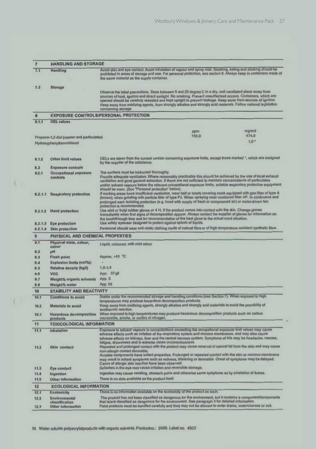| $\overline{7}$ | <b>HANDLING AND STORAGE</b>                |                                                                                                                                                                                                                                                                                                                                                                                                                                                                                      |  |
|----------------|--------------------------------------------|--------------------------------------------------------------------------------------------------------------------------------------------------------------------------------------------------------------------------------------------------------------------------------------------------------------------------------------------------------------------------------------------------------------------------------------------------------------------------------------|--|
| 7.1            | Handling                                   | Avoid skin and eye contact. Avoid inhalation of vapour and spray mist. Smoking, eating and drinking should be<br>prohibited in areas of storage and use. For personal protection, see section 8. Always keep in containers made of<br>the same material as the supply container.                                                                                                                                                                                                     |  |
| 7.2            | Storage                                    |                                                                                                                                                                                                                                                                                                                                                                                                                                                                                      |  |
|                |                                            | Observe the label precautions. Store between 5 and 25 degree C in a dry, well-ventilated place away from<br>sources of heat, ignition and direct sunlight. No smoking. Prevent unauthorised access. Containers, which are<br>opened should be carefully resealed and kept upright to prevent leakage. Keep away from sources of ignition.<br>Keep away from oxidizing agents, from strongly alkaline and strongly acid materials. Follow national legislation<br>concerning storage. |  |
| R              |                                            | <b>EXPOSURE CONTROLS/PERSONAL PROTECTION</b>                                                                                                                                                                                                                                                                                                                                                                                                                                         |  |
| 8, 1, 1        | <b>OEL values</b>                          |                                                                                                                                                                                                                                                                                                                                                                                                                                                                                      |  |
|                |                                            |                                                                                                                                                                                                                                                                                                                                                                                                                                                                                      |  |
|                | Propane-1,2-diol (vapour and particulates) | mg/m3<br>ppm<br>150,0<br>474.0                                                                                                                                                                                                                                                                                                                                                                                                                                                       |  |
|                |                                            | $1.0*$                                                                                                                                                                                                                                                                                                                                                                                                                                                                               |  |
|                | Hydroxyphenylbenzotriazol                  |                                                                                                                                                                                                                                                                                                                                                                                                                                                                                      |  |
| 8.1.2          | <b>Other limit values</b>                  | OELs are taken from the current version concerning exposure limits, except those marked *, which are assigned<br>by the supplier of the substance.                                                                                                                                                                                                                                                                                                                                   |  |
| 8.2            | <b>Exposure controls</b>                   |                                                                                                                                                                                                                                                                                                                                                                                                                                                                                      |  |
| B.2.1          | Occupational exposure                      | The workers must be instructed thoroughly.                                                                                                                                                                                                                                                                                                                                                                                                                                           |  |
|                | controls                                   | Provide adequate ventilation. Where reasonably practicable this should be achieved by the use of local exhaust<br>ventilation and good general extraction. If these are not sufficient to maintain concentrations of particulates<br>and/or solvent vapours below the relevant occupational exposure limits, suitable respiratory protective equipment<br>should be worn. (See "Personal protection" below).                                                                         |  |
| 8.2.1.1        | <b>Respiratory protection</b>              | If working areas have insufficient ventilation, wear half or totally covering mask equipped with gas filter of type A<br>(brown), when grinding with particle filter of type P2. When spraying wear combined filter AP. In continuous and<br>prolonged work isolating protection (e.g. hood with supply of fresh or compressed air) or motor-driven fan<br>protection is recommended.                                                                                                |  |
|                | 8.2.1.2 Hand protection                    | Use nitril or butyl rubber gloves or 4 H, if the product comes into contact with the skin. Change gloves<br>immediately when first signs of decomposition appear. Always contact the supplier of gloves for information on<br>the breakthrough time and for recommendation of the best glove to the actual word situation.                                                                                                                                                           |  |
|                | 8.2.1.3 Eye protection                     | Use safety eyewear designed to protect against splash of liquids.                                                                                                                                                                                                                                                                                                                                                                                                                    |  |
|                | 8.2.1.4 Skin protection                    | Personnel should wear anti-static clothing made of natrual fibre or of high temperature resistent synthetic fibre.                                                                                                                                                                                                                                                                                                                                                                   |  |
| $\mathbf{Q}$   | PHYSICAL AND CHEMICAL PROPERTIES           |                                                                                                                                                                                                                                                                                                                                                                                                                                                                                      |  |
| 9.1            | Physical state, colour,<br>odour           | Liquid, coloured, with mild odour                                                                                                                                                                                                                                                                                                                                                                                                                                                    |  |
| 9.2<br>9.3     | pН                                         |                                                                                                                                                                                                                                                                                                                                                                                                                                                                                      |  |
| 9.4            | Flash point<br>Explosion limits (vol%):    | Approx. >55 °C                                                                                                                                                                                                                                                                                                                                                                                                                                                                       |  |
| 9.5            | Relative density (kg/l)                    | $1, 0-1, 3$                                                                                                                                                                                                                                                                                                                                                                                                                                                                          |  |
| 9.6            | <b>VOC</b>                                 | App. 37 g1                                                                                                                                                                                                                                                                                                                                                                                                                                                                           |  |
| 9.7            |                                            | App. 5                                                                                                                                                                                                                                                                                                                                                                                                                                                                               |  |
| 9.8            | Weight% organic solvents<br>Weight% water  | App. 53                                                                                                                                                                                                                                                                                                                                                                                                                                                                              |  |
|                |                                            |                                                                                                                                                                                                                                                                                                                                                                                                                                                                                      |  |
| 10             | <b>STABILITY AND REACTIVITY</b>            |                                                                                                                                                                                                                                                                                                                                                                                                                                                                                      |  |
| 10.1           | <b>Conditions to avoid</b>                 | Stable under the recommended storage and handling conditions (see Section 7). When exposed to high<br>temperatures may produce hazardous decomposition products.                                                                                                                                                                                                                                                                                                                     |  |
| 10.2           | Materials to avoid                         | Keep away from oxidising agents, strongly alkaline and strongly acid materials to avoid the possibility of<br>exothermic reaction.                                                                                                                                                                                                                                                                                                                                                   |  |
| 10.3           | Hazardous decomposition<br>products        | When exposed to high temperatures may produce hazardous decomposition products such as carbon<br>monooxide, smoke, or oxides of nitrogen.                                                                                                                                                                                                                                                                                                                                            |  |
| 11             | <b>TOXICOLOGICAL INFORMATION</b>           |                                                                                                                                                                                                                                                                                                                                                                                                                                                                                      |  |
| 11.1           | Inhalation                                 | Exposure to solvent vapours in concentrations exceeding the occupational exposure limit values may cause                                                                                                                                                                                                                                                                                                                                                                             |  |
|                |                                            | adverse effects such as irritation of the respiratory system and mucous membranes, and may also cause<br>adverse effects on kidneys, liver and the central nervous system. Symptoms of this may be headache, nausea,<br>fatigue, drowsiness and in extreme cases unconsciousness.                                                                                                                                                                                                    |  |
| 11.2           | Skin contact                               | Repeated and prolonged contact with the product may cause removal of natural fat from the skin and may cause<br>non-allergic contact dermatitis.<br>Acrylate components have irritant properties. Profonged or repeated contact with the skin or mucous membrane<br>may result in irritant symptoms such as redness, blistering or dermatitis. Onset of symptoms may be delayed.<br>Cases of allergic skin reaction have been observed                                               |  |
| 11.3           | Eye contact                                | Splashes in the eye may cause irritation and reversible damage.                                                                                                                                                                                                                                                                                                                                                                                                                      |  |
| 11.4<br>11.5   | Ingestion<br>Other Information             | Ingestion may cause vomiting, stomach pains and otherwise same symptoms as by inhalation of fumes.<br>There is no data available on the product itself.                                                                                                                                                                                                                                                                                                                              |  |
|                |                                            |                                                                                                                                                                                                                                                                                                                                                                                                                                                                                      |  |
| 12             | <b>ECOLOGICAL INFORMATION</b>              |                                                                                                                                                                                                                                                                                                                                                                                                                                                                                      |  |
| 12.1           | Ecotoxicity                                | There is no information available on the ecoloxicity of the product as such.                                                                                                                                                                                                                                                                                                                                                                                                         |  |
| 12.2           | Environmental<br>classification            | The product has not been classified as dangerous for the environment, but it contains a component/components<br>that is/are classified as dangerous for the environment. See paragraph 3 for detailed information.<br>Paint products must be handled carefully and they may not be allowed to enter drains, watercourses or soil.                                                                                                                                                    |  |

 $\overline{L}$ 

 $($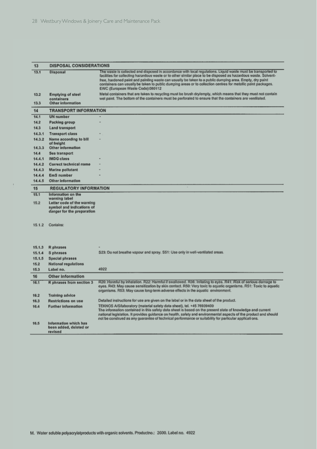$\bar{t}$ 

| 13               | <b>DISPOSAL CONSIDERATIONS</b>                                                                         |                                                                                                                                                                                                                                                                                                                                                                                                                                                                                                  |  |
|------------------|--------------------------------------------------------------------------------------------------------|--------------------------------------------------------------------------------------------------------------------------------------------------------------------------------------------------------------------------------------------------------------------------------------------------------------------------------------------------------------------------------------------------------------------------------------------------------------------------------------------------|--|
| 13.1             | Disposal                                                                                               | The waste is collected and disposed in accordance with local regulations. Liquid waste must be transported to<br>facilities for collecting hazardous waste or to other similar place to be disposed as hazardous waste. Solvent-<br>free, hardened paint and painting waste can usually be taken to a public dumping area. Empty, dry paint<br>containers can usually be taken to public dumping areas or to collection centres for metallic paint packages.<br>EWC (European Waste Code):080112 |  |
| 13.2             | <b>Emptying of steel</b><br>containers                                                                 | Metal containers that are taken to recycling must be brush dry/empty, which means that they must not contain<br>wet paint. The bottom of the containers must be perforaled to ensure that the containers are ventilated.                                                                                                                                                                                                                                                                         |  |
| 13.3             | Other information                                                                                      |                                                                                                                                                                                                                                                                                                                                                                                                                                                                                                  |  |
| 14               | <b>TRANSPORT INFORMATION</b>                                                                           |                                                                                                                                                                                                                                                                                                                                                                                                                                                                                                  |  |
| 14.1             | <b>UN</b> number                                                                                       |                                                                                                                                                                                                                                                                                                                                                                                                                                                                                                  |  |
| 14.2             | Packing group                                                                                          |                                                                                                                                                                                                                                                                                                                                                                                                                                                                                                  |  |
| 14.3             | Land transport                                                                                         |                                                                                                                                                                                                                                                                                                                                                                                                                                                                                                  |  |
| 14.3.1           | <b>Transport class</b>                                                                                 |                                                                                                                                                                                                                                                                                                                                                                                                                                                                                                  |  |
| 14.3.2           | Name according to bill<br>of freight                                                                   |                                                                                                                                                                                                                                                                                                                                                                                                                                                                                                  |  |
| 14.3.3           | <b>Other information</b>                                                                               |                                                                                                                                                                                                                                                                                                                                                                                                                                                                                                  |  |
| 14.4             | Sea transport                                                                                          |                                                                                                                                                                                                                                                                                                                                                                                                                                                                                                  |  |
| 14.4.1<br>14.4.2 | <b>IMDG</b> class                                                                                      |                                                                                                                                                                                                                                                                                                                                                                                                                                                                                                  |  |
| 14, 4, 3         | Correct technical name<br>Marine pollutant                                                             |                                                                                                                                                                                                                                                                                                                                                                                                                                                                                                  |  |
| 14.4.4           | <b>EmS</b> number                                                                                      |                                                                                                                                                                                                                                                                                                                                                                                                                                                                                                  |  |
| 14.4.5           | Other information                                                                                      |                                                                                                                                                                                                                                                                                                                                                                                                                                                                                                  |  |
| 15               | <b>REGULATORY INFORMATION</b>                                                                          |                                                                                                                                                                                                                                                                                                                                                                                                                                                                                                  |  |
| 15.1             | Information on the                                                                                     |                                                                                                                                                                                                                                                                                                                                                                                                                                                                                                  |  |
| 15.2             | warning label<br>Letter code of the warning<br>symbol and indications of<br>danger for the preparation |                                                                                                                                                                                                                                                                                                                                                                                                                                                                                                  |  |
| 15.1.2           | Contains:                                                                                              |                                                                                                                                                                                                                                                                                                                                                                                                                                                                                                  |  |
| 15.1.3           | R phrases                                                                                              |                                                                                                                                                                                                                                                                                                                                                                                                                                                                                                  |  |
| 15.1.4           | S phrases                                                                                              | S23: Do not breathe vapour and spray. S51: Use only in well-ventilated areas.                                                                                                                                                                                                                                                                                                                                                                                                                    |  |
| 15.1.5           | <b>Special phrases</b>                                                                                 |                                                                                                                                                                                                                                                                                                                                                                                                                                                                                                  |  |
| 15.2             | <b>National regulations</b>                                                                            |                                                                                                                                                                                                                                                                                                                                                                                                                                                                                                  |  |
| 15.3             | Label no.                                                                                              | 4922                                                                                                                                                                                                                                                                                                                                                                                                                                                                                             |  |
| 16               | <b>Other Information</b>                                                                               |                                                                                                                                                                                                                                                                                                                                                                                                                                                                                                  |  |
| 16.1             | R phrases from section 3                                                                               | R20: Harmful by inhalation. R22: Harmful if swallowed. R36: Irritating to eyes. R41: Risk of serious damage to<br>eyes, R43: May cause sensitization by skin contact. R50: Very toxic to aquatic organisms. R51: Toxic to aquatic<br>organisms. R53: May cause long-term adverse effects in the aquatic environment.                                                                                                                                                                             |  |
| 16.2             | <b>Training advice</b>                                                                                 |                                                                                                                                                                                                                                                                                                                                                                                                                                                                                                  |  |
| 16.3             | <b>Restrictions on use</b>                                                                             | Detailed instructions for use are given on the label or in the data sheet of the product.                                                                                                                                                                                                                                                                                                                                                                                                        |  |
| 16.4             | <b>Further Information</b>                                                                             | TEKNOS A/S/laboratory (material safety data sheet), tel. +45 76939400<br>The information contained in this safety data sheet is based on the present state of knowledge and current<br>national legislation. It provides guidance on health, safety and environmental aspects of the product and should<br>not be construed as any guarantee of technical performance or suitability for particular applicati ons.                                                                               |  |
| 16.5             | Information which has<br>been added, deleted or<br>revised                                             |                                                                                                                                                                                                                                                                                                                                                                                                                                                                                                  |  |